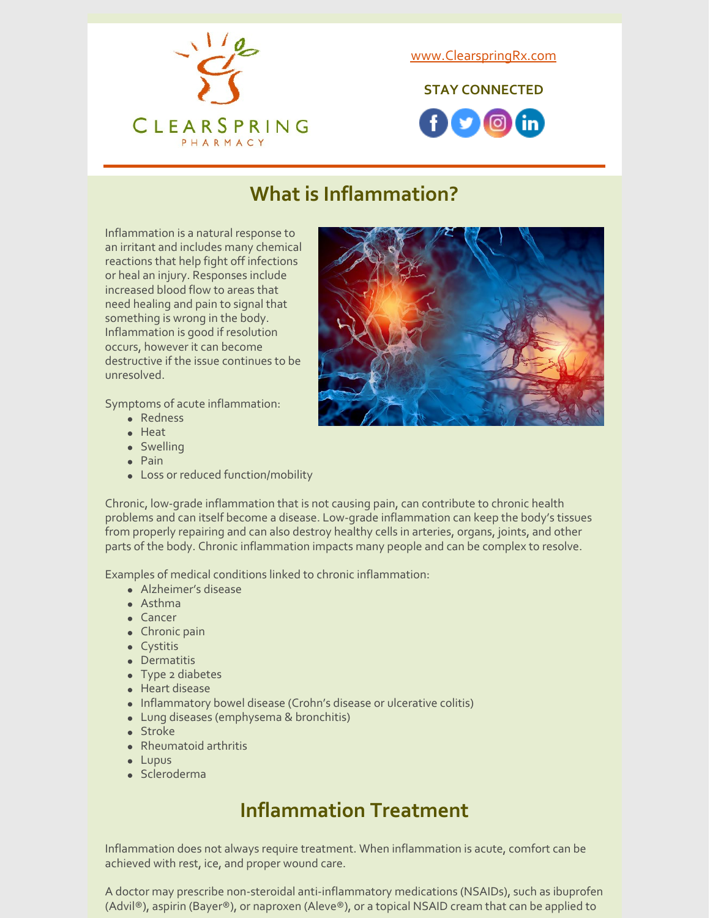

[www.ClearspringRx.com](https://www.clearspringrx.com)

**STAY CONNECTED**



# **What is Inflammation?**

Inflammation is a natural response to an irritant and includes many chemical reactions that help fight off infections or heal an injury. Responses include increased blood flow to areas that need healing and pain to signal that something is wrong in the body. Inflammation is good if resolution occurs, however it can become destructive if the issue continues to be unresolved.

Symptoms of acute inflammation:

- Redness
- Heat
- Swelling
- Pain
- Loss or reduced function/mobility

Chronic, low-grade inflammation that is not causing pain, can contribute to chronic health problems and can itself become a disease. Low-grade inflammation can keep the body's tissues from properly repairing and can also destroy healthy cells in arteries, organs, joints, and other parts of the body. Chronic inflammation impacts many people and can be complex to resolve.

Examples of medical conditions linked to chronic inflammation:

- Alzheimer's disease
- Asthma
- Cancer
- Chronic pain
- Cystitis
- **•** Dermatitis
- Type 2 diabetes
- Heart disease
- Inflammatory bowel disease (Crohn's disease or ulcerative colitis)
- Lung diseases (emphysema & bronchitis)
- Stroke
- Rheumatoid arthritis
- Lupus
- Scleroderma

## **Inflammation Treatment**

Inflammation does not always require treatment. When inflammation is acute, comfort can be achieved with rest, ice, and proper wound care.

A doctor may prescribe non-steroidal anti-inflammatory medications (NSAIDs), such as ibuprofen (Advil®), aspirin (Bayer®), or naproxen (Aleve®), or a topical NSAID cream that can be applied to

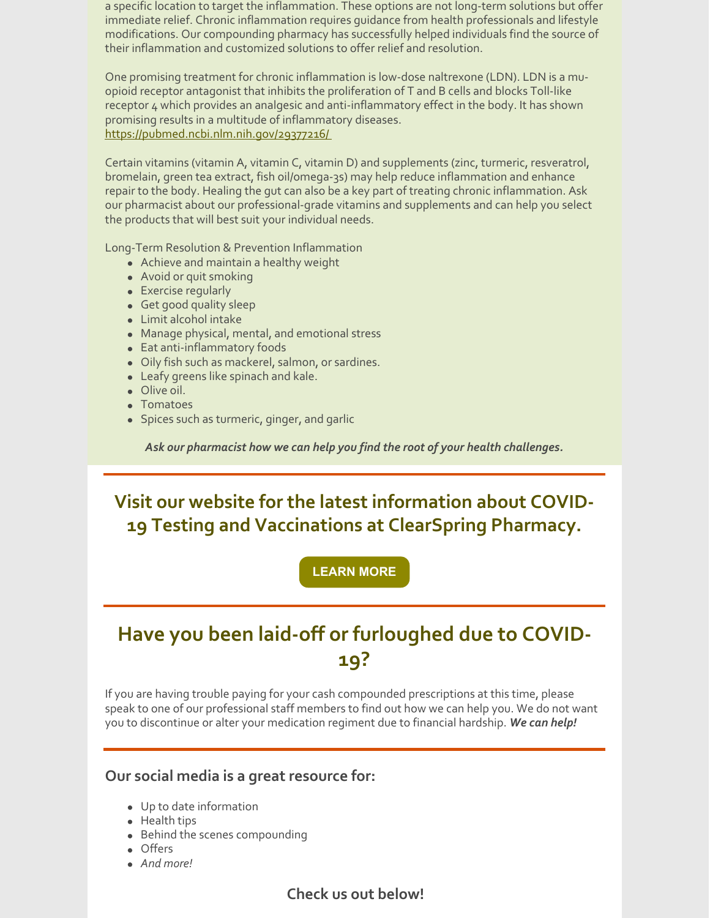a specific location to target the inflammation. These options are not long-term solutions but offer immediate relief. Chronic inflammation requires guidance from health professionals and lifestyle modifications. Our compounding pharmacy has successfully helped individuals find the source of their inflammation and customized solutions to offer relief and resolution.

One promising treatment for chronic inflammation is low-dose naltrexone (LDN). LDN is a muopioid receptor antagonist that inhibits the proliferation of T and B cells and blocks Toll-like receptor 4 which provides an analgesic and anti-inflammatory effect in the body. It has shown promising results in a multitude of inflammatory diseases. <https://pubmed.ncbi.nlm.nih.gov/29377216/>

Certain vitamins (vitamin A, vitamin C, vitamin D) and supplements (zinc, turmeric, resveratrol, bromelain, green tea extract, fish oil/omega-3s) may help reduce inflammation and enhance repair to the body. Healing the gut can also be a key part of treating chronic inflammation. Ask our pharmacist about our professional-grade vitamins and supplements and can help you select the products that will best suit your individual needs.

Long-Term Resolution & Prevention Inflammation

- Achieve and maintain a healthy weight
- Avoid or quit smoking
- Exercise regularly
- Get good quality sleep
- Limit alcohol intake
- Manage physical, mental, and emotional stress
- Eat anti-inflammatory foods
- Oily fish such as mackerel, salmon, or sardines.
- Leafy greens like spinach and kale.
- Olive oil.
- Tomatoes
- Spices such as turmeric, ginger, and garlic

*Ask our pharmacist how we can help you find the root of your health challenges.*

**Visit our website for the latest information about COVID-19 Testing and Vaccinations at ClearSpring Pharmacy.**

**[LEARN](https://clearspringrx.com/covid-19.php) MORE**

### **Have you been laid-off or furloughed due to COVID-19?**

If you are having trouble paying for your cash compounded prescriptions at this time, please speak to one of our professional staff members to find out how we can help you. We do not want you to discontinue or alter your medication regiment due to financial hardship. *We can help!*

#### **Our social media is a great resource for:**

- Up to date information
- Health tips
- Behind the scenes compounding
- Offers
- *And more!*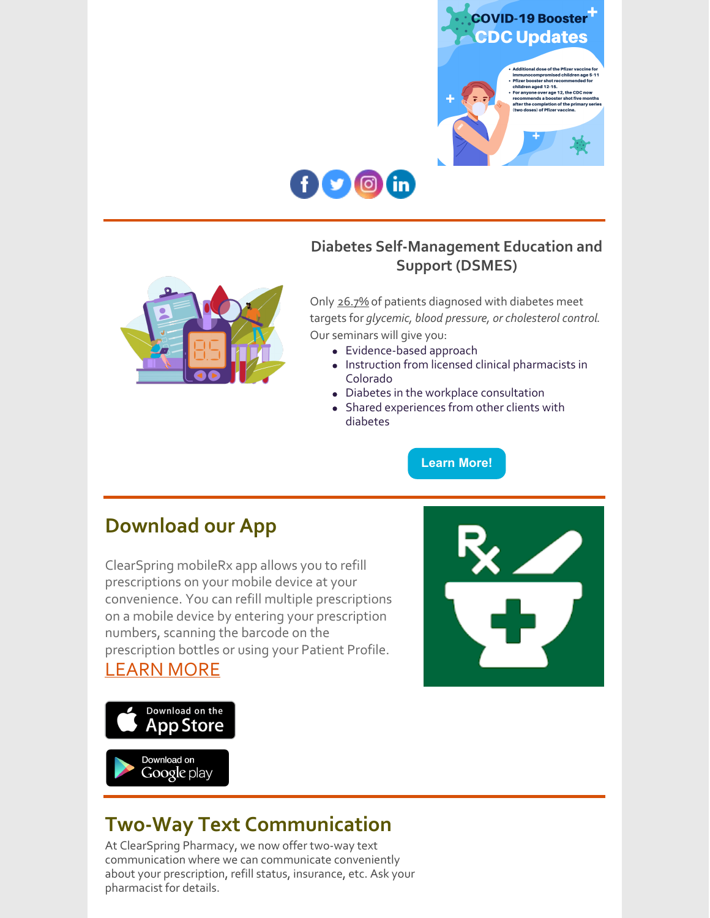



### **Diabetes Self-Management Education and Support (DSMES)**



Only 26.7% of patients diagnosed with diabetes meet targets for *glycemic, blood pressure, or cholesterol control*. Our seminars will give you:

- Evidence-based approach
- Instruction from licensed clinical pharmacists in Colorado
- Diabetes in the workplace consultation
- Shared experiences from other clients with diabetes

**[Learn](https://ucdenver.co1.qualtrics.com/jfe/form/SV_3kLRVHFT83QEVtc) More!**

### **Download our App**

ClearSpring mobileRx app allows you to refill prescriptions on your mobile device at your convenience. You can refill multiple prescriptions on a mobile device by entering your prescription numbers, scanning the barcode on the prescription bottles or using your Patient Profile. [LEARN](https://clearspringrx.com/app.php) MORE





## **Two-Way Text Communication**

At ClearSpring Pharmacy, we now offer two-way text communication where we can communicate conveniently about your prescription, refill status, insurance, etc. Ask your pharmacist for details.